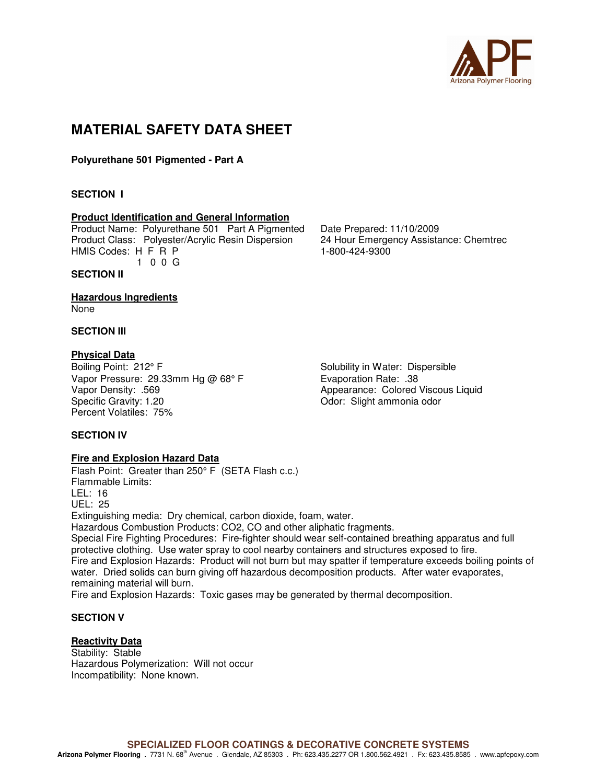

## **MATERIAL SAFETY DATA SHEET**

**Polyurethane 501 Pigmented - Part A** 

#### **SECTION I**

#### **Product Identification and General Information**

Product Name: Polyurethane 501 Part A Pigmented Date Prepared: 11/10/2009 Product Class: Polyester/Acrylic Resin Dispersion 24 Hour Emergency Assistance: Chemtrec HMIS Codes: H F R P 1-800-424-9300

1 0 0 G

### **SECTION II**

**Hazardous Ingredients** 

None

#### **SECTION III**

### **Physical Data**

Boiling Point: 212° F Solubility in Water: Dispersible Vapor Pressure: 29.33mm Hg @ 68° F Evaporation Rate: .38 Vapor Density: .569 **Appearance: Colored Viscous Liquid** Appearance: Colored Viscous Liquid Specific Gravity: 1.20 **Specific Gravity: 1.20** Odor: Slight ammonia odor Percent Volatiles: 75%

#### **SECTION IV**

#### **Fire and Explosion Hazard Data**

Flash Point: Greater than 250° F (SETA Flash c.c.) Flammable Limits: LEL: 16 UEL: 25 Extinguishing media: Dry chemical, carbon dioxide, foam, water. Hazardous Combustion Products: CO2, CO and other aliphatic fragments. Special Fire Fighting Procedures: Fire-fighter should wear self-contained breathing apparatus and full protective clothing. Use water spray to cool nearby containers and structures exposed to fire. Fire and Explosion Hazards: Product will not burn but may spatter if temperature exceeds boiling points of water. Dried solids can burn giving off hazardous decomposition products. After water evaporates, remaining material will burn. Fire and Explosion Hazards: Toxic gases may be generated by thermal decomposition.

#### **SECTION V**

#### **Reactivity Data**

Stability: Stable Hazardous Polymerization: Will not occur Incompatibility: None known.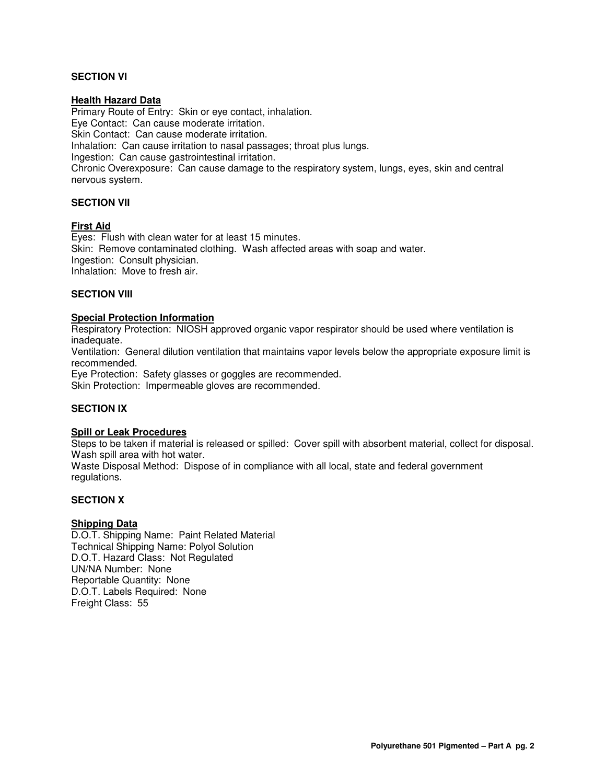#### **SECTION VI**

#### **Health Hazard Data**

Primary Route of Entry: Skin or eye contact, inhalation. Eye Contact: Can cause moderate irritation. Skin Contact: Can cause moderate irritation. Inhalation: Can cause irritation to nasal passages; throat plus lungs. Ingestion: Can cause gastrointestinal irritation. Chronic Overexposure: Can cause damage to the respiratory system, lungs, eyes, skin and central nervous system.

#### **SECTION VII**

#### **First Aid**

Eyes: Flush with clean water for at least 15 minutes. Skin: Remove contaminated clothing. Wash affected areas with soap and water. Ingestion: Consult physician. Inhalation: Move to fresh air.

#### **SECTION VIII**

#### **Special Protection Information**

Respiratory Protection: NIOSH approved organic vapor respirator should be used where ventilation is inadequate.

Ventilation: General dilution ventilation that maintains vapor levels below the appropriate exposure limit is recommended.

Eye Protection: Safety glasses or goggles are recommended. Skin Protection: Impermeable gloves are recommended.

#### **SECTION IX**

#### **Spill or Leak Procedures**

Steps to be taken if material is released or spilled: Cover spill with absorbent material, collect for disposal. Wash spill area with hot water.

Waste Disposal Method: Dispose of in compliance with all local, state and federal government regulations.

#### **SECTION X**

#### **Shipping Data**

D.O.T. Shipping Name: Paint Related Material Technical Shipping Name: Polyol Solution D.O.T. Hazard Class: Not Regulated UN/NA Number: None Reportable Quantity: None D.O.T. Labels Required: None Freight Class: 55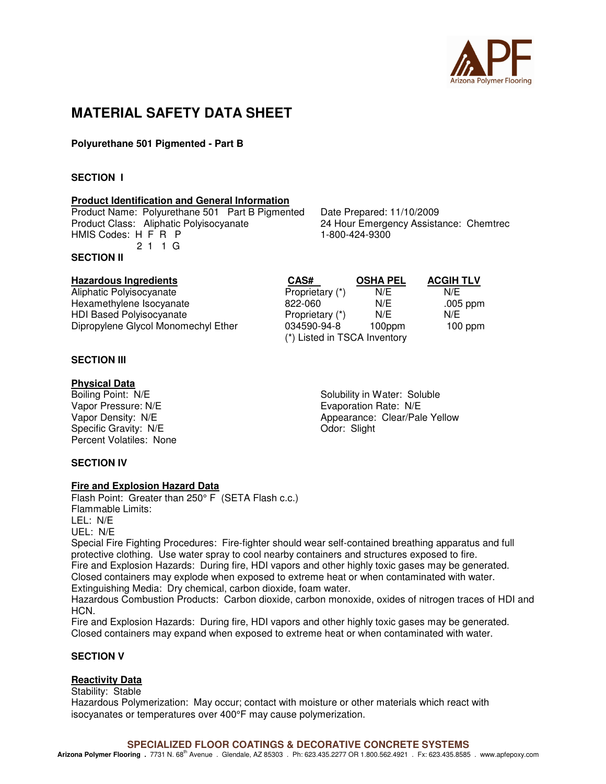

## **MATERIAL SAFETY DATA SHEET**

#### **Polyurethane 501 Pigmented - Part B**

#### **SECTION I**

#### **Product Identification and General Information**

Product Name: Polyurethane 501 Part B Pigmented Date Prepared: 11/10/2009<br>Product Class: Aliphatic Polyisocyanate 24 Hour Emergency Assista HMIS Codes: H F R P 1-800-424-9300 2 1 1 G

**SECTION II** 

#### **SECTION III**

# **Physical Data**<br>Boiling Point: N/E

Vapor Pressure: N/E **Example 2018** Evaporation Rate: N/E Specific Gravity: N/E Odor: Slight Percent Volatiles: None

#### **SECTION IV**

#### **Fire and Explosion Hazard Data**

Flash Point: Greater than 250° F (SETA Flash c.c.) Flammable Limits: LEL: N/E UEL: N/E

Special Fire Fighting Procedures: Fire-fighter should wear self-contained breathing apparatus and full protective clothing. Use water spray to cool nearby containers and structures exposed to fire. Fire and Explosion Hazards: During fire, HDI vapors and other highly toxic gases may be generated. Closed containers may explode when exposed to extreme heat or when contaminated with water.

Extinguishing Media: Dry chemical, carbon dioxide, foam water.

Hazardous Combustion Products: Carbon dioxide, carbon monoxide, oxides of nitrogen traces of HDI and HCN.

Fire and Explosion Hazards: During fire, HDI vapors and other highly toxic gases may be generated. Closed containers may expand when exposed to extreme heat or when contaminated with water.

#### **SECTION V**

#### **Reactivity Data**

Stability: Stable Hazardous Polymerization: May occur; contact with moisture or other materials which react with isocyanates or temperatures over 400°F may cause polymerization.

24 Hour Emergency Assistance: Chemtrec

**Hazardous Ingredients CAS# OSHA PEL ACGIH TLV** Aliphatic Polyisocyanate **Aliphatic Polyisocyanate** Proprietary (\*) N/E N/E Hexamethylene Isocyanate  $\overline{822-060}$  N/E .005 ppm HDI Based Polyisocyanate **Proprietary (\*)** N/E N/E Dipropylene Glycol Monomechyl Ether 034590-94-8 100ppm 100 ppm (\*) Listed in TSCA Inventory

Solubility in Water: Soluble Vapor Density: N/E <br>
Appearance: Clear/Pale Yellow